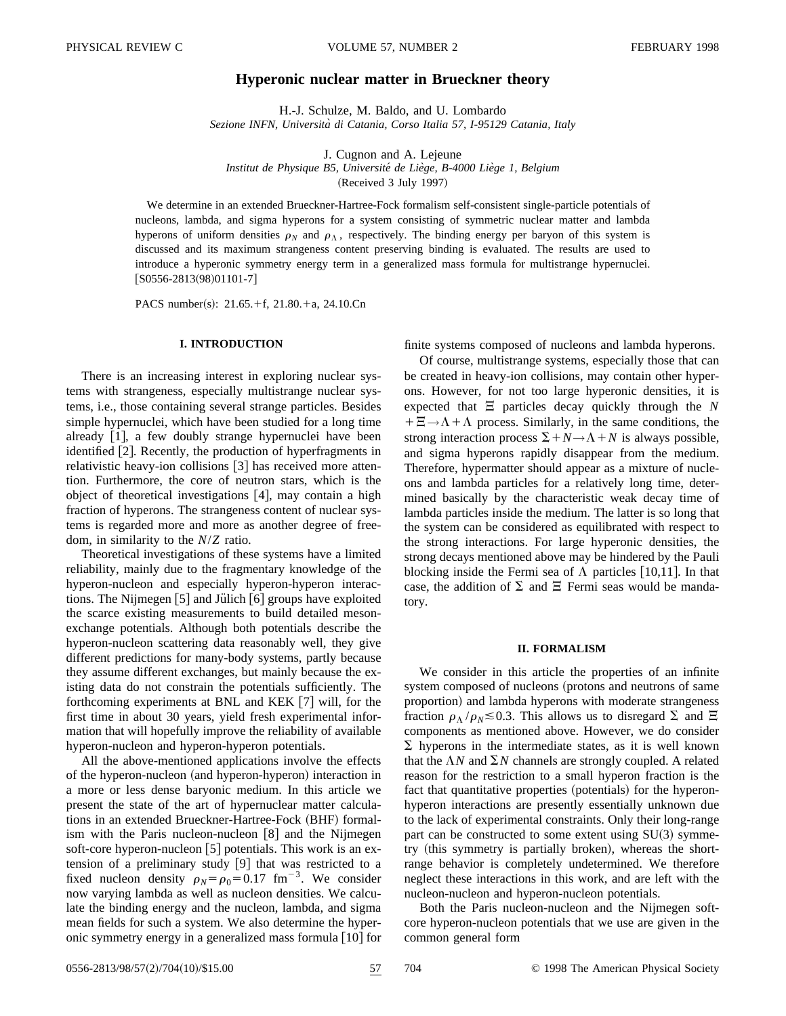# **Hyperonic nuclear matter in Brueckner theory**

H.-J. Schulze, M. Baldo, and U. Lombardo *Sezione INFN, Universita` di Catania, Corso Italia 57, I-95129 Catania, Italy*

J. Cugnon and A. Lejeune

*Institut de Physique B5, Universite´ de Lie`ge, B-4000 Lie`ge 1, Belgium*

 $(Received 3 July 1997)$ 

We determine in an extended Brueckner-Hartree-Fock formalism self-consistent single-particle potentials of nucleons, lambda, and sigma hyperons for a system consisting of symmetric nuclear matter and lambda hyperons of uniform densities  $\rho_N$  and  $\rho_{\Lambda}$ , respectively. The binding energy per baryon of this system is discussed and its maximum strangeness content preserving binding is evaluated. The results are used to introduce a hyperonic symmetry energy term in a generalized mass formula for multistrange hypernuclei.  $[$ S0556-2813(98)01101-7]

PACS number(s):  $21.65.+f$ ,  $21.80.+a$ ,  $24.10.Cn$ 

## **I. INTRODUCTION**

There is an increasing interest in exploring nuclear systems with strangeness, especially multistrange nuclear systems, i.e., those containing several strange particles. Besides simple hypernuclei, which have been studied for a long time already  $[1]$ , a few doubly strange hypernuclei have been identified [2]. Recently, the production of hyperfragments in relativistic heavy-ion collisions  $[3]$  has received more attention. Furthermore, the core of neutron stars, which is the object of theoretical investigations  $[4]$ , may contain a high fraction of hyperons. The strangeness content of nuclear systems is regarded more and more as another degree of freedom, in similarity to the *N*/*Z* ratio.

Theoretical investigations of these systems have a limited reliability, mainly due to the fragmentary knowledge of the hyperon-nucleon and especially hyperon-hyperon interactions. The Nijmegen  $[5]$  and Julich  $[6]$  groups have exploited the scarce existing measurements to build detailed mesonexchange potentials. Although both potentials describe the hyperon-nucleon scattering data reasonably well, they give different predictions for many-body systems, partly because they assume different exchanges, but mainly because the existing data do not constrain the potentials sufficiently. The forthcoming experiments at BNL and KEK  $[7]$  will, for the first time in about 30 years, yield fresh experimental information that will hopefully improve the reliability of available hyperon-nucleon and hyperon-hyperon potentials.

All the above-mentioned applications involve the effects of the hyperon-nucleon (and hyperon-hyperon) interaction in a more or less dense baryonic medium. In this article we present the state of the art of hypernuclear matter calculations in an extended Brueckner-Hartree-Fock (BHF) formalism with the Paris nucleon-nucleon  $[8]$  and the Nijmegen soft-core hyperon-nucleon  $[5]$  potentials. This work is an extension of a preliminary study  $[9]$  that was restricted to a fixed nucleon density  $\rho_N = \rho_0 = 0.17$  fm<sup>-3</sup>. We consider now varying lambda as well as nucleon densities. We calculate the binding energy and the nucleon, lambda, and sigma mean fields for such a system. We also determine the hyperonic symmetry energy in a generalized mass formula  $[10]$  for finite systems composed of nucleons and lambda hyperons.

Of course, multistrange systems, especially those that can be created in heavy-ion collisions, may contain other hyperons. However, for not too large hyperonic densities, it is expected that  $\Xi$  particles decay quickly through the *N*  $+ \Xi \rightarrow \Lambda + \Lambda$  process. Similarly, in the same conditions, the strong interaction process  $\Sigma + N \rightarrow \Lambda + N$  is always possible, and sigma hyperons rapidly disappear from the medium. Therefore, hypermatter should appear as a mixture of nucleons and lambda particles for a relatively long time, determined basically by the characteristic weak decay time of lambda particles inside the medium. The latter is so long that the system can be considered as equilibrated with respect to the strong interactions. For large hyperonic densities, the strong decays mentioned above may be hindered by the Pauli blocking inside the Fermi sea of  $\Lambda$  particles [10,11]. In that case, the addition of  $\Sigma$  and  $\Xi$  Fermi seas would be mandatory.

## **II. FORMALISM**

We consider in this article the properties of an infinite system composed of nucleons (protons and neutrons of same proportion) and lambda hyperons with moderate strangeness fraction  $\rho_{\Lambda}/\rho_{N} \le 0.3$ . This allows us to disregard  $\Sigma$  and  $\Xi$ components as mentioned above. However, we do consider  $\Sigma$  hyperons in the intermediate states, as it is well known that the  $\Lambda N$  and  $\Sigma N$  channels are strongly coupled. A related reason for the restriction to a small hyperon fraction is the fact that quantitative properties (potentials) for the hyperonhyperon interactions are presently essentially unknown due to the lack of experimental constraints. Only their long-range part can be constructed to some extent using  $SU(3)$  symmetry (this symmetry is partially broken), whereas the shortrange behavior is completely undetermined. We therefore neglect these interactions in this work, and are left with the nucleon-nucleon and hyperon-nucleon potentials.

Both the Paris nucleon-nucleon and the Nijmegen softcore hyperon-nucleon potentials that we use are given in the common general form

0556-2813/98/57(2)/704(10)/\$15.00 57 704 © 1998 The American Physical Society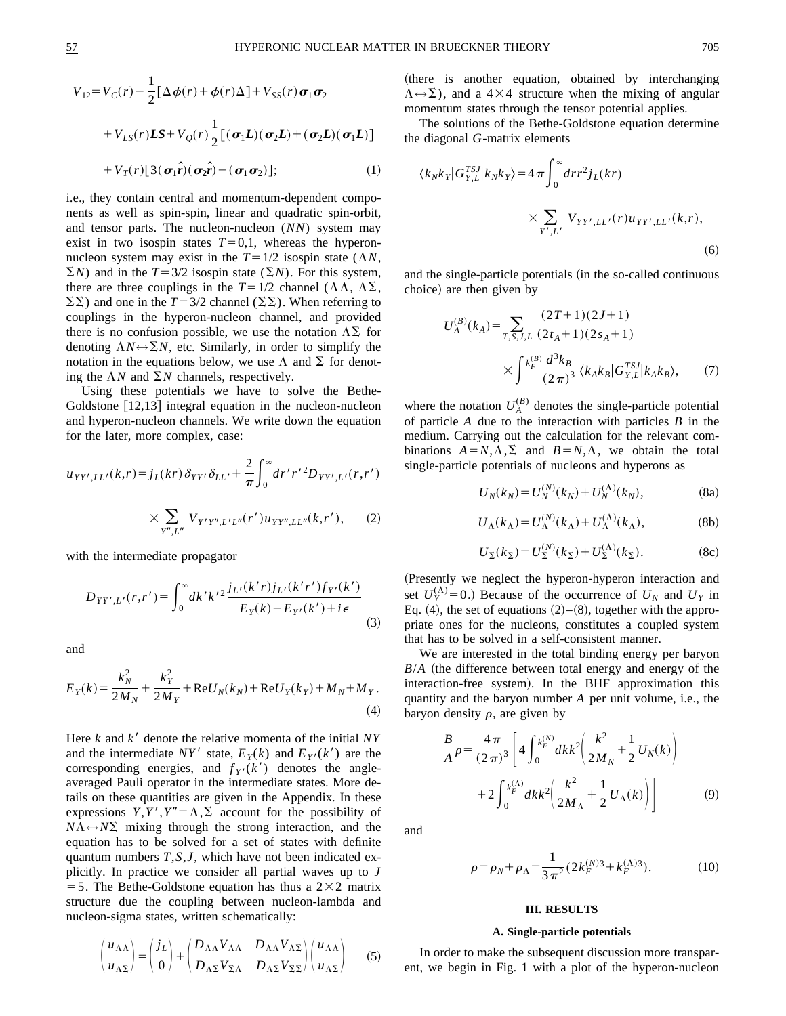$$
V_{12} = V_C(r) - \frac{1}{2} [\Delta \phi(r) + \phi(r) \Delta] + V_{SS}(r) \sigma_1 \sigma_2
$$
  
+ 
$$
V_{LS}(r) LS + V_Q(r) \frac{1}{2} [(\sigma_1 L)(\sigma_2 L) + (\sigma_2 L)(\sigma_1 L)]
$$
  
+ 
$$
V_T(r) [3(\sigma_1 \hat{r})(\sigma_2 \hat{r}) - (\sigma_1 \sigma_2)]; \qquad (1)
$$

i.e., they contain central and momentum-dependent components as well as spin-spin, linear and quadratic spin-orbit, and tensor parts. The nucleon-nucleon (*NN*) system may exist in two isospin states  $T=0,1$ , whereas the hyperonnucleon system may exist in the  $T=1/2$  isospin state ( $\Lambda N$ ,  $\Sigma N$ ) and in the  $T=3/2$  isospin state ( $\Sigma N$ ). For this system, there are three couplings in the  $T=1/2$  channel ( $\Lambda\Lambda$ ,  $\Lambda\Sigma$ ,  $\Sigma\Sigma$ ) and one in the *T* = 3/2 channel ( $\Sigma\Sigma$ ). When referring to couplings in the hyperon-nucleon channel, and provided there is no confusion possible, we use the notation  $\Lambda\Sigma$  for denoting  $\Lambda N \leftrightarrow \Sigma N$ , etc. Similarly, in order to simplify the notation in the equations below, we use  $\Lambda$  and  $\Sigma$  for denoting the  $\Lambda N$  and  $\Sigma N$  channels, respectively.

Using these potentials we have to solve the Bethe-Goldstone  $[12,13]$  integral equation in the nucleon-nucleon and hyperon-nucleon channels. We write down the equation for the later, more complex, case:

$$
u_{YY',LL'}(k,r) = j_L(kr) \delta_{YY'} \delta_{LL'} + \frac{2}{\pi} \int_0^\infty dr' r'^2 D_{YY',L'}(r,r') \times \sum_{Y'',L''} V_{Y'Y'',L'L''}(r') u_{YY'',LL''}(k,r'), \quad (2)
$$

with the intermediate propagator

$$
D_{YY',L'}(r,r') = \int_0^\infty dk' k'^2 \frac{j_{L'}(k'r)j_{L'}(k'r')f_{Y'}(k')}{E_Y(k) - E_{Y'}(k') + i\epsilon}
$$
\n(3)

and

$$
E_Y(k) = \frac{k_N^2}{2M_N} + \frac{k_Y^2}{2M_Y} + \text{Re}U_N(k_N) + \text{Re}U_Y(k_Y) + M_N + M_Y.
$$
\n(4)

Here  $k$  and  $k'$  denote the relative momenta of the initial  $NY$ and the intermediate  $NY'$  state,  $E_Y(k)$  and  $E_{Y'}(k')$  are the corresponding energies, and  $f_{Y}(k')$  denotes the angleaveraged Pauli operator in the intermediate states. More details on these quantities are given in the Appendix. In these expressions *Y*,*Y'*,  $Y'' = \Lambda$ ,  $\Sigma$  account for the possibility of  $N\Lambda \leftrightarrow N\Sigma$  mixing through the strong interaction, and the equation has to be solved for a set of states with definite quantum numbers *T*,*S*,*J*, which have not been indicated explicitly. In practice we consider all partial waves up to *J* = 5. The Bethe-Goldstone equation has thus a  $2\times 2$  matrix structure due the coupling between nucleon-lambda and nucleon-sigma states, written schematically:

$$
\begin{pmatrix} u_{\Lambda\Lambda} \\ u_{\Lambda\Sigma} \end{pmatrix} = \begin{pmatrix} j_L \\ 0 \end{pmatrix} + \begin{pmatrix} D_{\Lambda\Lambda} V_{\Lambda\Lambda} & D_{\Lambda\Lambda} V_{\Lambda\Sigma} \\ D_{\Lambda\Sigma} V_{\Sigma\Lambda} & D_{\Lambda\Sigma} V_{\Sigma\Sigma} \end{pmatrix} \begin{pmatrix} u_{\Lambda\Lambda} \\ u_{\Lambda\Sigma} \end{pmatrix}
$$
 (5)

(there is another equation, obtained by interchanging  $\Lambda \leftrightarrow \Sigma$ ), and a 4×4 structure when the mixing of angular momentum states through the tensor potential applies.

The solutions of the Bethe-Goldstone equation determine the diagonal *G*-matrix elements

$$
\langle k_N k_Y | G_{Y,L}^{TSJ} | k_N k_Y \rangle = 4 \pi \int_0^\infty dr r^2 j_L(kr)
$$
  
 
$$
\times \sum_{Y',L'} V_{YY',LL'}(r) u_{YY',LL'}(k,r),
$$
 (6)

and the single-particle potentials (in the so-called continuous choice) are then given by

$$
U_A^{(B)}(k_A) = \sum_{T,S,J,L} \frac{(2T+1)(2J+1)}{(2t_A+1)(2s_A+1)}
$$

$$
\times \int^{k_F^{(B)}} \frac{d^3k_B}{(2\pi)^3} \langle k_A k_B | G_{Y,L}^{TSJ} | k_A k_B \rangle, \qquad (7)
$$

where the notation  $U_A^{(B)}$  denotes the single-particle potential of particle *A* due to the interaction with particles *B* in the medium. Carrying out the calculation for the relevant combinations  $A=N, \Lambda, \Sigma$  and  $B=N, \Lambda$ , we obtain the total single-particle potentials of nucleons and hyperons as

$$
U_N(k_N) = U_N^{(N)}(k_N) + U_N^{(\Lambda)}(k_N),
$$
 (8a)

$$
U_{\Lambda}(k_{\Lambda}) = U_{\Lambda}^{(N)}(k_{\Lambda}) + U_{\Lambda}^{(\Lambda)}(k_{\Lambda}), \tag{8b}
$$

$$
U_{\Sigma}(k_{\Sigma}) = U_{\Sigma}^{(N)}(k_{\Sigma}) + U_{\Sigma}^{(\Lambda)}(k_{\Sigma}).
$$
 (8c)

(Presently we neglect the hyperon-hyperon interaction and set  $U_Y^{(\Lambda)} = 0$ .) Because of the occurrence of  $U_N$  and  $U_Y$  in Eq. (4), the set of equations  $(2)$ – $(8)$ , together with the appropriate ones for the nucleons, constitutes a coupled system that has to be solved in a self-consistent manner.

We are interested in the total binding energy per baryon  $B/A$  (the difference between total energy and energy of the interaction-free system). In the BHF approximation this quantity and the baryon number *A* per unit volume, i.e., the baryon density  $\rho$ , are given by

$$
\frac{B}{A}\rho = \frac{4\pi}{(2\pi)^3} \left[ 4 \int_0^{k_F^{(N)}} dk k^2 \left( \frac{k^2}{2M_N} + \frac{1}{2} U_N(k) \right) + 2 \int_0^{k_F^{(\Lambda)}} dk k^2 \left( \frac{k^2}{2M_\Lambda} + \frac{1}{2} U_\Lambda(k) \right) \right]
$$
(9)

and

$$
\rho = \rho_N + \rho_\Lambda = \frac{1}{3\pi^2} (2k_F^{(N)3} + k_F^{(\Lambda)3}).\tag{10}
$$

## **III. RESULTS**

### **A. Single-particle potentials**

In order to make the subsequent discussion more transparent, we begin in Fig. 1 with a plot of the hyperon-nucleon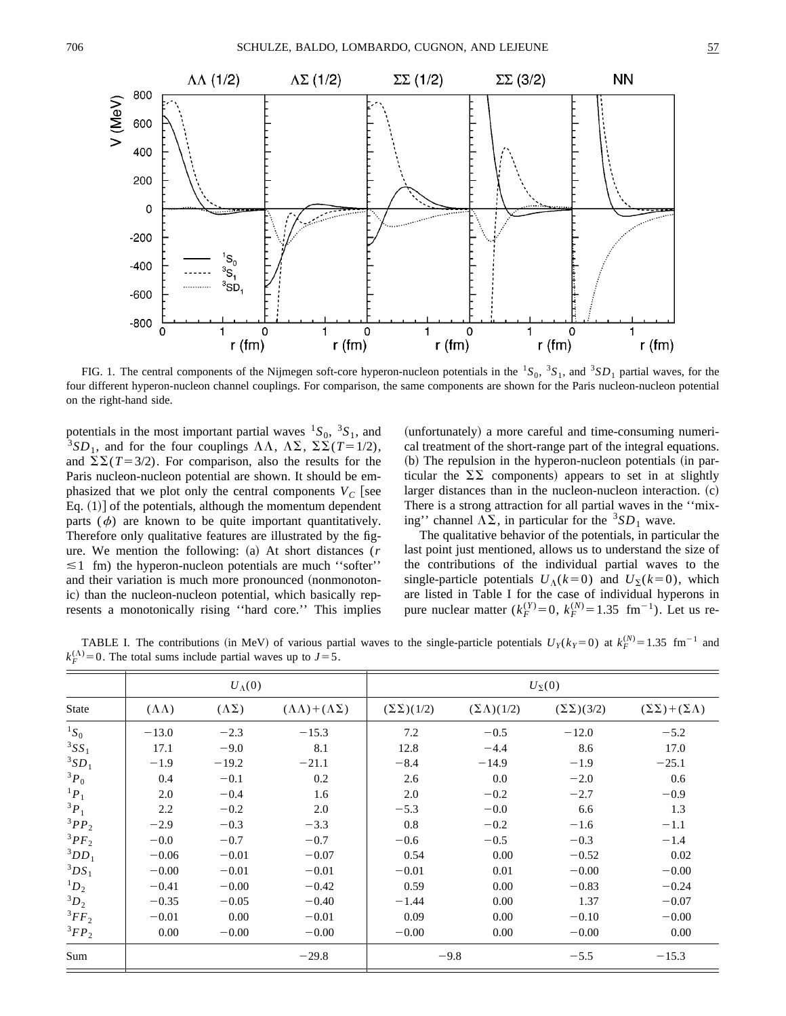

FIG. 1. The central components of the Nijmegen soft-core hyperon-nucleon potentials in the  ${}^{1}S_{0}$ ,  ${}^{3}S_{1}$ , and  ${}^{3}SD_{1}$  partial waves, for the four different hyperon-nucleon channel couplings. For comparison, the same components are shown for the Paris nucleon-nucleon potential on the right-hand side.

potentials in the most important partial waves  ${}^{1}S_{0}$ ,  ${}^{3}S_{1}$ , and <sup>3</sup>SD<sub>1</sub>, and for the four couplings  $\Lambda\Lambda$ ,  $\Lambda\Sigma$ ,  $\Sigma\overline{\Sigma}(T=1/2)$ , and  $\Sigma \Sigma (T=3/2)$ . For comparison, also the results for the Paris nucleon-nucleon potential are shown. It should be emphasized that we plot only the central components  $V_C$  [see Eq.  $(1)$  of the potentials, although the momentum dependent parts  $(\phi)$  are known to be quite important quantitatively. Therefore only qualitative features are illustrated by the figure. We mention the following: (a) At short distances ( $r$  $\leq 1$  fm) the hyperon-nucleon potentials are much "softer" and their variation is much more pronounced (nonmonotonic) than the nucleon-nucleon potential, which basically represents a monotonically rising ''hard core.'' This implies (unfortunately) a more careful and time-consuming numerical treatment of the short-range part of the integral equations.  $~$  (b) The repulsion in the hyperon-nucleon potentials (in particular the  $\Sigma \Sigma$  components) appears to set in at slightly larger distances than in the nucleon-nucleon interaction.  $(c)$ There is a strong attraction for all partial waves in the ''mixing'' channel  $\Lambda \Sigma$ , in particular for the <sup>3</sup>SD<sub>1</sub> wave.

The qualitative behavior of the potentials, in particular the last point just mentioned, allows us to understand the size of the contributions of the individual partial waves to the single-particle potentials  $U_{\Lambda}(k=0)$  and  $U_{\Sigma}(k=0)$ , which are listed in Table I for the case of individual hyperons in pure nuclear matter  $(k_F^{(Y)}=0, k_F^{(N)}=1.35$  fm<sup>-1</sup>). Let us re-

TABLE I. The contributions (in MeV) of various partial waves to the single-particle potentials  $U_Y(k_Y=0)$  at  $k_F^{(N)}=1.35$  fm<sup>-1</sup> and  $k_F^{(\Lambda)} = 0$ . The total sums include partial waves up to  $J = 5$ .

|              | $U_{\Lambda}(0)$    |                    |                                        | $U_{\Sigma}(0)$        |                         |                        |                                      |
|--------------|---------------------|--------------------|----------------------------------------|------------------------|-------------------------|------------------------|--------------------------------------|
| <b>State</b> | $(\Lambda \Lambda)$ | $(\Lambda \Sigma)$ | $(\Lambda \Lambda) + (\Lambda \Sigma)$ | $(\Sigma \Sigma)(1/2)$ | $(\Sigma \Lambda)(1/2)$ | $(\Sigma \Sigma)(3/2)$ | $(\Sigma \Sigma) + (\Sigma \Lambda)$ |
| ${}^1S_0$    | $-13.0$             | $-2.3$             | $-15.3$                                | 7.2                    | $-0.5$                  | $-12.0$                | $-5.2$                               |
| $3SS_1$      | 17.1                | $-9.0$             | 8.1                                    | 12.8                   | $-4.4$                  | 8.6                    | 17.0                                 |
| $3SD_1$      | $-1.9$              | $-19.2$            | $-21.1$                                | $-8.4$                 | $-14.9$                 | $-1.9$                 | $-25.1$                              |
| $3P_0$       | 0.4                 | $-0.1$             | 0.2                                    | 2.6                    | 0.0                     | $-2.0$                 | 0.6                                  |
| ${}^1P_1$    | 2.0                 | $-0.4$             | 1.6                                    | 2.0                    | $-0.2$                  | $-2.7$                 | $-0.9$                               |
| $3P_1$       | 2.2                 | $-0.2$             | 2.0                                    | $-5.3$                 | $-0.0$                  | 6.6                    | 1.3                                  |
| $3PP_2$      | $-2.9$              | $-0.3$             | $-3.3$                                 | 0.8                    | $-0.2$                  | $-1.6$                 | $-1.1$                               |
| $3PF_2$      | $-0.0$              | $-0.7$             | $-0.7$                                 | $-0.6$                 | $-0.5$                  | $-0.3$                 | $-1.4$                               |
| $3DD_1$      | $-0.06$             | $-0.01$            | $-0.07$                                | 0.54                   | 0.00                    | $-0.52$                | 0.02                                 |
| $3DS_1$      | $-0.00$             | $-0.01$            | $-0.01$                                | $-0.01$                | 0.01                    | $-0.00$                | $-0.00$                              |
| ${}^1D_2$    | $-0.41$             | $-0.00$            | $-0.42$                                | 0.59                   | 0.00                    | $-0.83$                | $-0.24$                              |
| ${}^3D_2$    | $-0.35$             | $-0.05$            | $-0.40$                                | $-1.44$                | 0.00                    | 1.37                   | $-0.07$                              |
| ${}^3FF_2$   | $-0.01$             | 0.00               | $-0.01$                                | 0.09                   | 0.00                    | $-0.10$                | $-0.00$                              |
| ${}^3FP_2$   | 0.00                | $-0.00$            | $-0.00$                                | $-0.00$                | 0.00                    | $-0.00$                | 0.00                                 |
| Sum          |                     |                    | $-29.8$                                | $-9.8$                 |                         | $-5.5$                 | $-15.3$                              |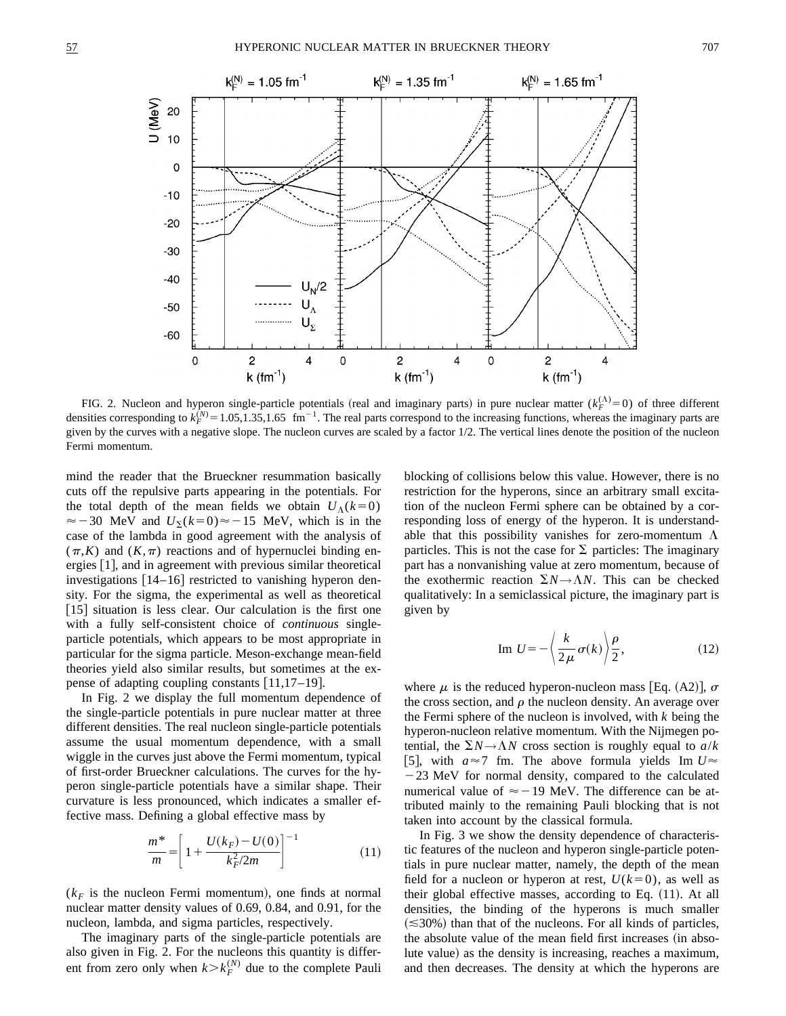

FIG. 2. Nucleon and hyperon single-particle potentials (real and imaginary parts) in pure nuclear matter  $(k_F^{(\Lambda)}=0)$  of three different densities corresponding to  $k_F^{(N)} = 1.05, 1.35, 1.65$  fm<sup>-1</sup>. The real parts correspond to the increasing functions, whereas the imaginary parts are given by the curves with a negative slope. The nucleon curves are scaled by a factor 1/2. The vertical lines denote the position of the nucleon Fermi momentum.

mind the reader that the Brueckner resummation basically cuts off the repulsive parts appearing in the potentials. For the total depth of the mean fields we obtain  $U_{\Lambda}(k=0)$  $\approx$  -30 MeV and  $U_{\Sigma}$ ( $k=0$ ) $\approx$  -15 MeV, which is in the case of the lambda in good agreement with the analysis of  $(\pi,K)$  and  $(K,\pi)$  reactions and of hypernuclei binding energies  $[1]$ , and in agreement with previous similar theoretical investigations  $[14–16]$  restricted to vanishing hyperon density. For the sigma, the experimental as well as theoretical  $[15]$  situation is less clear. Our calculation is the first one with a fully self-consistent choice of *continuous* singleparticle potentials, which appears to be most appropriate in particular for the sigma particle. Meson-exchange mean-field theories yield also similar results, but sometimes at the expense of adapting coupling constants  $[11,17-19]$ .

In Fig. 2 we display the full momentum dependence of the single-particle potentials in pure nuclear matter at three different densities. The real nucleon single-particle potentials assume the usual momentum dependence, with a small wiggle in the curves just above the Fermi momentum, typical of first-order Brueckner calculations. The curves for the hyperon single-particle potentials have a similar shape. Their curvature is less pronounced, which indicates a smaller effective mass. Defining a global effective mass by

$$
\frac{m^*}{m} = \left[1 + \frac{U(k_F) - U(0)}{k_F^2/2m}\right]^{-1} \tag{11}
$$

 $(k_F)$  is the nucleon Fermi momentum), one finds at normal nuclear matter density values of 0.69, 0.84, and 0.91, for the nucleon, lambda, and sigma particles, respectively.

The imaginary parts of the single-particle potentials are also given in Fig. 2. For the nucleons this quantity is different from zero only when  $k > k_F^{(N)}$  due to the complete Pauli blocking of collisions below this value. However, there is no restriction for the hyperons, since an arbitrary small excitation of the nucleon Fermi sphere can be obtained by a corresponding loss of energy of the hyperon. It is understandable that this possibility vanishes for zero-momentum  $\Lambda$ particles. This is not the case for  $\Sigma$  particles: The imaginary part has a nonvanishing value at zero momentum, because of the exothermic reaction  $\Sigma N \rightarrow \Lambda N$ . This can be checked qualitatively: In a semiclassical picture, the imaginary part is given by

Im 
$$
U = -\left\langle \frac{k}{2\mu} \sigma(k) \right\rangle \frac{\rho}{2},
$$
 (12)

where  $\mu$  is the reduced hyperon-nucleon mass [Eq. (A2)],  $\sigma$ the cross section, and  $\rho$  the nucleon density. An average over the Fermi sphere of the nucleon is involved, with *k* being the hyperon-nucleon relative momentum. With the Nijmegen potential, the  $\Sigma N \rightarrow \Lambda N$  cross section is roughly equal to  $a/k$ [5], with  $a \approx 7$  fm. The above formula yields Im  $U \approx$  $-23$  MeV for normal density, compared to the calculated numerical value of  $\approx$  -19 MeV. The difference can be attributed mainly to the remaining Pauli blocking that is not taken into account by the classical formula.

In Fig. 3 we show the density dependence of characteristic features of the nucleon and hyperon single-particle potentials in pure nuclear matter, namely, the depth of the mean field for a nucleon or hyperon at rest,  $U(k=0)$ , as well as their global effective masses, according to Eq.  $(11)$ . At all densities, the binding of the hyperons is much smaller  $(\leq 30\%)$  than that of the nucleons. For all kinds of particles, the absolute value of the mean field first increases (in absolute value) as the density is increasing, reaches a maximum, and then decreases. The density at which the hyperons are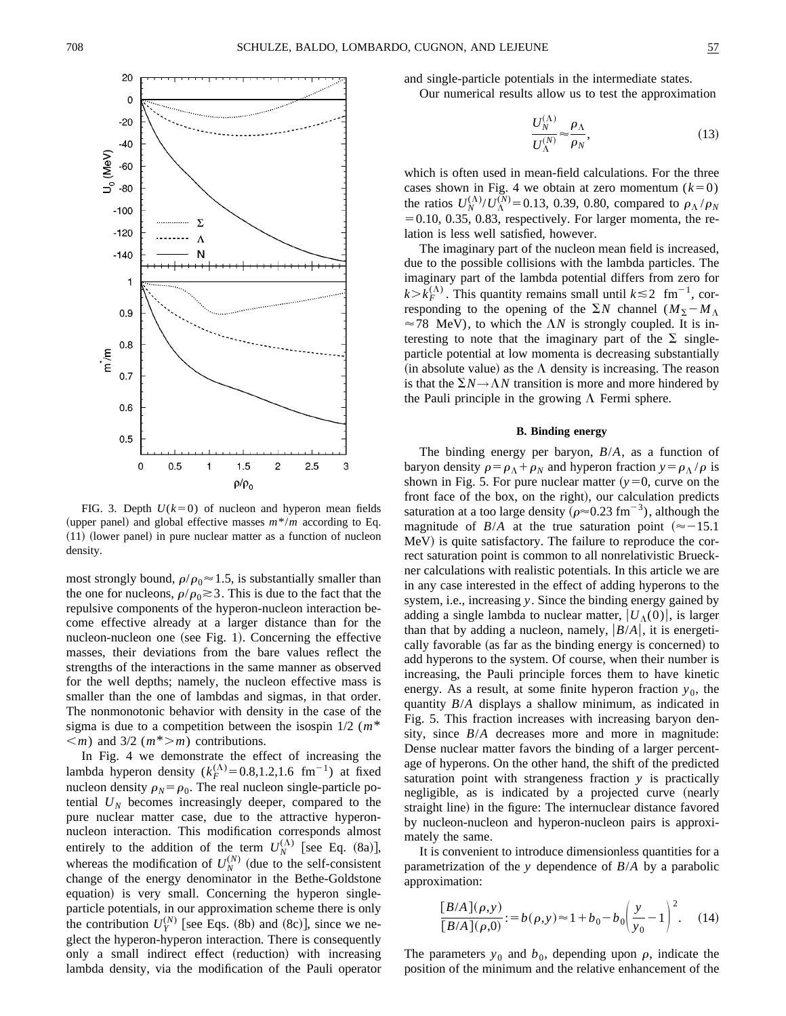

FIG. 3. Depth  $U(k=0)$  of nucleon and hyperon mean fields (upper panel) and global effective masses  $m^*/m$  according to Eq.  $(11)$  (lower panel) in pure nuclear matter as a function of nucleon density.

most strongly bound,  $\rho/\rho_0 \approx 1.5$ , is substantially smaller than the one for nucleons,  $\rho/\rho_0 \gtrsim 3$ . This is due to the fact that the repulsive components of the hyperon-nucleon interaction become effective already at a larger distance than for the nucleon-nucleon one (see Fig. 1). Concerning the effective masses, their deviations from the bare values reflect the strengths of the interactions in the same manner as observed for the well depths; namely, the nucleon effective mass is smaller than the one of lambdas and sigmas, in that order. The nonmonotonic behavior with density in the case of the sigma is due to a competition between the isospin 1/2 (*m*\*  $\langle m \rangle$  and 3/2 ( $m^*$  *m*) contributions.

In Fig. 4 we demonstrate the effect of increasing the lambda hyperon density  $(k_F^{(\Lambda)}=0.8,1.2,1.6~\text{fm}^{-1})$  at fixed nucleon density  $\rho_N = \rho_0$ . The real nucleon single-particle potential  $U_N$  becomes increasingly deeper, compared to the pure nuclear matter case, due to the attractive hyperonnucleon interaction. This modification corresponds almost entirely to the addition of the term  $U_N^{(\Lambda)}$  [see Eq. (8a)], whereas the modification of  $U_N^{(N)}$  (due to the self-consistent change of the energy denominator in the Bethe-Goldstone equation) is very small. Concerning the hyperon singleparticle potentials, in our approximation scheme there is only the contribution  $U_Y^{(N)}$  [see Eqs. (8b) and (8c)], since we neglect the hyperon-hyperon interaction. There is consequently only a small indirect effect (reduction) with increasing lambda density, via the modification of the Pauli operator and single-particle potentials in the intermediate states.

Our numerical results allow us to test the approximation

$$
\frac{U_N^{(\Lambda)}}{U_N^{(N)}} \approx \frac{\rho_\Lambda}{\rho_N},\tag{13}
$$

which is often used in mean-field calculations. For the three cases shown in Fig. 4 we obtain at zero momentum  $(k=0)$ the ratios  $U_N^{(\Lambda)}/U_N^{(N)} = 0.13, 0.39, 0.80$ , compared to  $\rho_\Lambda / \rho_N$  $=0.10, 0.35, 0.83$ , respectively. For larger momenta, the relation is less well satisfied, however.

The imaginary part of the nucleon mean field is increased, due to the possible collisions with the lambda particles. The imaginary part of the lambda potential differs from zero for  $k > k_F^{(\Lambda)}$ . This quantity remains small until  $k \le 2$  fm<sup>-1</sup>, corresponding to the opening of the  $\Sigma N$  channel  $(M_{\Sigma} - M_{\Lambda})$  $\approx$  78 MeV), to which the  $\Lambda N$  is strongly coupled. It is interesting to note that the imaginary part of the  $\Sigma$  singleparticle potential at low momenta is decreasing substantially (in absolute value) as the  $\Lambda$  density is increasing. The reason is that the  $\Sigma N \rightarrow \Lambda N$  transition is more and more hindered by the Pauli principle in the growing  $\Lambda$  Fermi sphere.

## **B. Binding energy**

The binding energy per baryon, *B*/*A*, as a function of baryon density  $\rho = \rho_{\Lambda} + \rho_N$  and hyperon fraction  $y = \rho_{\Lambda}/\rho$  is shown in Fig. 5. For pure nuclear matter  $(y=0,$  curve on the front face of the box, on the right), our calculation predicts saturation at a too large density ( $\rho \approx 0.23$  fm<sup>-3</sup>), although the magnitude of  $B/A$  at the true saturation point ( $\approx -15.1$ ) MeV) is quite satisfactory. The failure to reproduce the correct saturation point is common to all nonrelativistic Brueckner calculations with realistic potentials. In this article we are in any case interested in the effect of adding hyperons to the system, i.e., increasing *y*. Since the binding energy gained by adding a single lambda to nuclear matter,  $|U_A(0)|$ , is larger than that by adding a nucleon, namely,  $|B/A|$ , it is energetically favorable (as far as the binding energy is concerned) to add hyperons to the system. Of course, when their number is increasing, the Pauli principle forces them to have kinetic energy. As a result, at some finite hyperon fraction  $y_0$ , the quantity *B*/*A* displays a shallow minimum, as indicated in Fig. 5. This fraction increases with increasing baryon density, since *B*/*A* decreases more and more in magnitude: Dense nuclear matter favors the binding of a larger percentage of hyperons. On the other hand, the shift of the predicted saturation point with strangeness fraction *y* is practically negligible, as is indicated by a projected curve (nearly straight line) in the figure: The internuclear distance favored by nucleon-nucleon and hyperon-nucleon pairs is approximately the same.

It is convenient to introduce dimensionless quantities for a parametrization of the *y* dependence of *B*/*A* by a parabolic approximation:

$$
\frac{[B/A](\rho, y)}{[B/A](\rho, 0)} := b(\rho, y) \approx 1 + b_0 - b_0 \left(\frac{y}{y_0} - 1\right)^2.
$$
 (14)

The parameters  $y_0$  and  $b_0$ , depending upon  $\rho$ , indicate the position of the minimum and the relative enhancement of the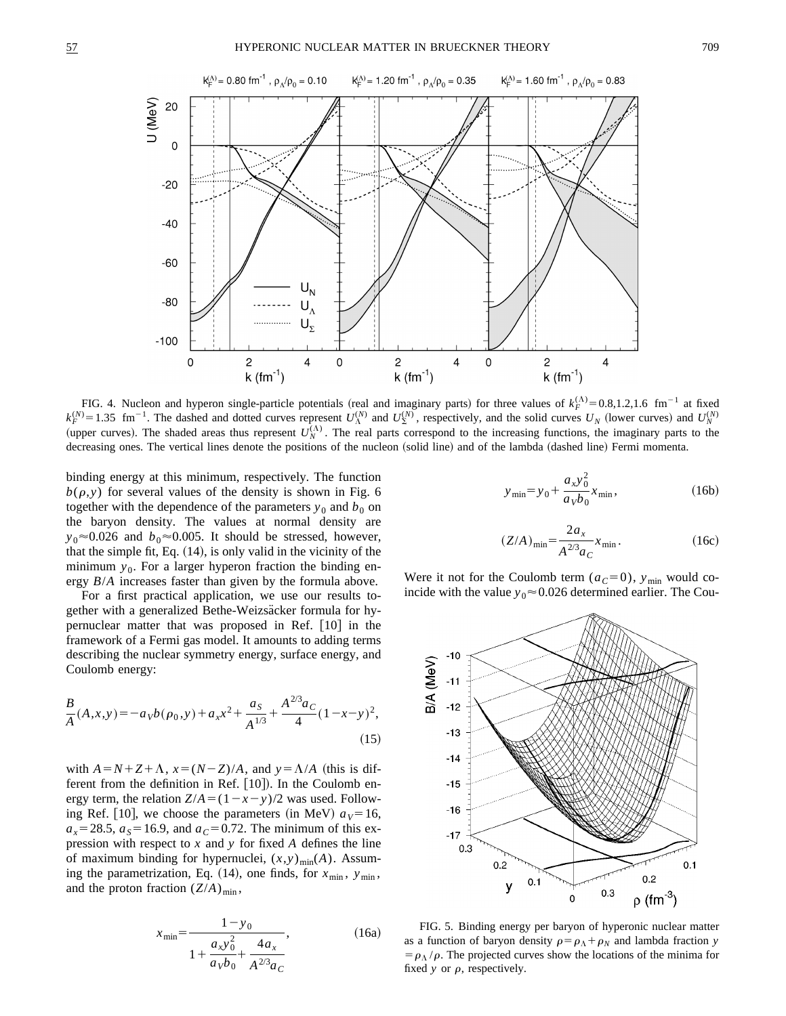

FIG. 4. Nucleon and hyperon single-particle potentials (real and imaginary parts) for three values of  $k_F^{(\Lambda)} = 0.8, 1.2, 1.6$  fm<sup>-1</sup> at fixed  $k_F^{(N)}$  = 1.35 fm<sup>-1</sup>. The dashed and dotted curves represent  $U_{\Lambda}^{(N)}$  and  $U_{\Sigma}^{(N)}$ , respectively, and the solid curves  $U_N$  (lower curves) and  $U_N^{(N)}$ (upper curves). The shaded areas thus represent  $U_N^{(\Lambda)}$ . The real parts correspond to the increasing functions, the imaginary parts to the decreasing ones. The vertical lines denote the positions of the nucleon (solid line) and of the lambda (dashed line) Fermi momenta.

binding energy at this minimum, respectively. The function  $b(\rho, y)$  for several values of the density is shown in Fig. 6 together with the dependence of the parameters  $y_0$  and  $b_0$  on the baryon density. The values at normal density are  $y_0 \approx 0.026$  and  $b_0 \approx 0.005$ . It should be stressed, however, that the simple fit, Eq.  $(14)$ , is only valid in the vicinity of the minimum  $y_0$ . For a larger hyperon fraction the binding energy *B*/*A* increases faster than given by the formula above.

For a first practical application, we use our results together with a generalized Bethe-Weizsäcker formula for hypernuclear matter that was proposed in Ref.  $[10]$  in the framework of a Fermi gas model. It amounts to adding terms describing the nuclear symmetry energy, surface energy, and Coulomb energy:

$$
\frac{B}{A}(A,x,y) = -a_V b(\rho_0, y) + a_x x^2 + \frac{a_S}{A^{1/3}} + \frac{A^{2/3} a_C}{4} (1 - x - y)^2,
$$
\n(15)

with  $A=N+Z+\Lambda$ ,  $x=(N-Z)/A$ , and  $y=\Lambda/A$  (this is different from the definition in Ref.  $[10]$ . In the Coulomb energy term, the relation  $Z/A = (1 - x - y)/2$  was used. Following Ref. [10], we choose the parameters (in MeV)  $a_V = 16$ ,  $a_x = 28.5$ ,  $a_s = 16.9$ , and  $a_c = 0.72$ . The minimum of this expression with respect to *x* and *y* for fixed *A* defines the line of maximum binding for hypernuclei,  $(x, y)_{min}(A)$ . Assuming the parametrization, Eq. (14), one finds, for  $x_{\text{min}}$ ,  $y_{\text{min}}$ , and the proton fraction  $(Z/A)_{\text{min}}$ ,

$$
x_{\min} = \frac{1 - y_0}{1 + \frac{a_x y_0^2}{a_v b_0} + \frac{4a_x}{A^{2/3} a_c}},
$$
(16a)

$$
y_{\min} = y_0 + \frac{a_x y_0^2}{a_v b_0} x_{\min},
$$
 (16b)

$$
(Z/A)_{\min} = \frac{2a_x}{A^{2/3}a_C} x_{\min}.
$$
 (16c)

Were it not for the Coulomb term  $(a_C=0)$ ,  $y_{min}$  would coincide with the value  $y_0 \approx 0.026$  determined earlier. The Cou-



FIG. 5. Binding energy per baryon of hyperonic nuclear matter as a function of baryon density  $\rho = \rho_{\Lambda} + \rho_N$  and lambda fraction *y*  $= \rho_{\Lambda}/\rho$ . The projected curves show the locations of the minima for fixed  $y$  or  $\rho$ , respectively.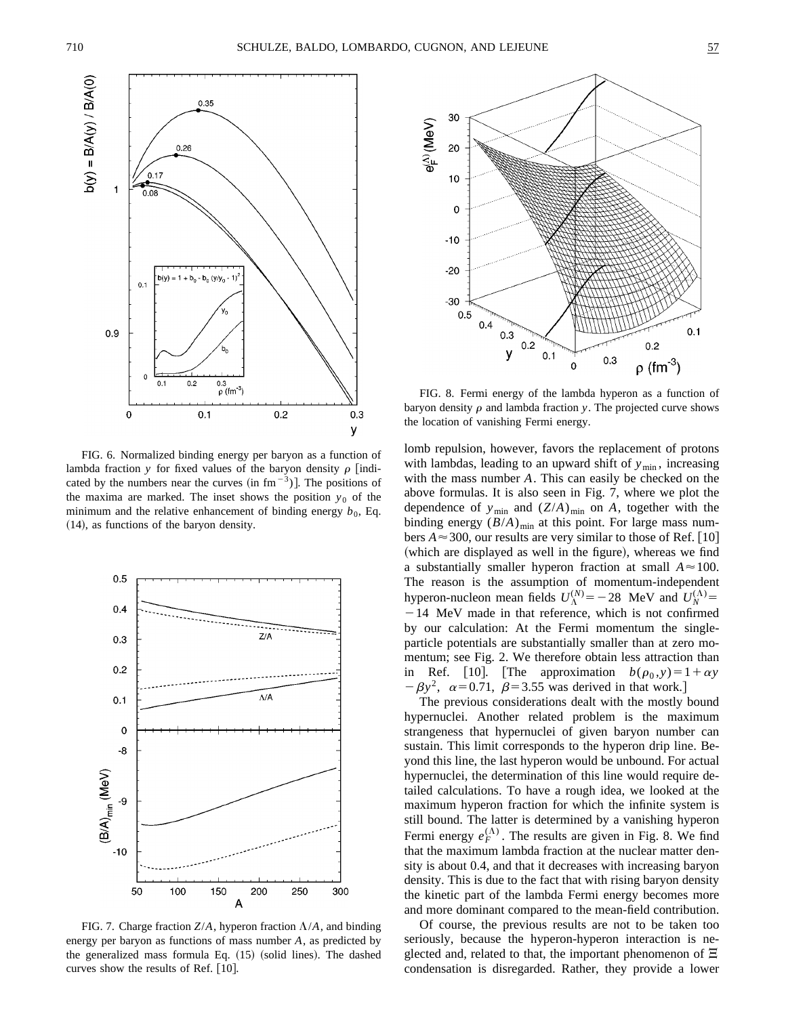

FIG. 6. Normalized binding energy per baryon as a function of lambda fraction *y* for fixed values of the baryon density  $\rho$  [indicated by the numbers near the curves  $(in fm<sup>-3</sup>)$ . The positions of the maxima are marked. The inset shows the position  $y_0$  of the minimum and the relative enhancement of binding energy  $b_0$ , Eq.  $(14)$ , as functions of the baryon density.



FIG. 7. Charge fraction  $Z/A$ , hyperon fraction  $\Lambda/A$ , and binding energy per baryon as functions of mass number *A*, as predicted by the generalized mass formula Eq.  $(15)$  (solid lines). The dashed curves show the results of Ref.  $[10]$ .



FIG. 8. Fermi energy of the lambda hyperon as a function of baryon density  $\rho$  and lambda fraction *y*. The projected curve shows the location of vanishing Fermi energy.

lomb repulsion, however, favors the replacement of protons with lambdas, leading to an upward shift of  $y_{min}$ , increasing with the mass number *A*. This can easily be checked on the above formulas. It is also seen in Fig. 7, where we plot the dependence of  $y_{\text{min}}$  and  $(Z/A)_{\text{min}}$  on *A*, together with the binding energy  $(B/A)_{\text{min}}$  at this point. For large mass numbers  $A \approx 300$ , our results are very similar to those of Ref. [10] (which are displayed as well in the figure), whereas we find a substantially smaller hyperon fraction at small  $A \approx 100$ . The reason is the assumption of momentum-independent hyperon-nucleon mean fields  $U_{\Lambda}^{(N)} = -28$  MeV and  $U_{N}^{(\Lambda)} =$  $-14$  MeV made in that reference, which is not confirmed by our calculation: At the Fermi momentum the singleparticle potentials are substantially smaller than at zero momentum; see Fig. 2. We therefore obtain less attraction than in Ref. [10]. [The approximation  $b(\rho_0, y) = 1 + \alpha y$  $-\beta y^2$ ,  $\alpha = 0.71$ ,  $\beta = 3.55$  was derived in that work.]

The previous considerations dealt with the mostly bound hypernuclei. Another related problem is the maximum strangeness that hypernuclei of given baryon number can sustain. This limit corresponds to the hyperon drip line. Beyond this line, the last hyperon would be unbound. For actual hypernuclei, the determination of this line would require detailed calculations. To have a rough idea, we looked at the maximum hyperon fraction for which the infinite system is still bound. The latter is determined by a vanishing hyperon Fermi energy  $e_F^{(\Lambda)}$ . The results are given in Fig. 8. We find that the maximum lambda fraction at the nuclear matter density is about 0.4, and that it decreases with increasing baryon density. This is due to the fact that with rising baryon density the kinetic part of the lambda Fermi energy becomes more and more dominant compared to the mean-field contribution.

Of course, the previous results are not to be taken too seriously, because the hyperon-hyperon interaction is neglected and, related to that, the important phenomenon of  $\Xi$ condensation is disregarded. Rather, they provide a lower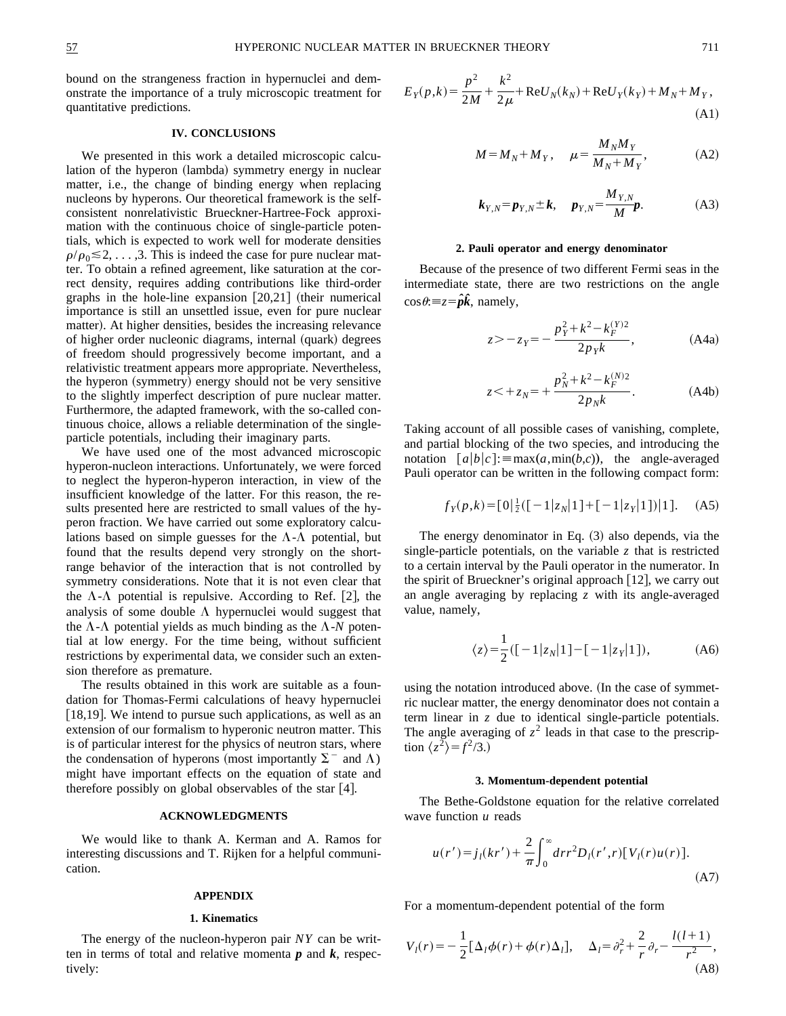bound on the strangeness fraction in hypernuclei and demonstrate the importance of a truly microscopic treatment for quantitative predictions.

# **IV. CONCLUSIONS**

We presented in this work a detailed microscopic calculation of the hyperon (lambda) symmetry energy in nuclear matter, i.e., the change of binding energy when replacing nucleons by hyperons. Our theoretical framework is the selfconsistent nonrelativistic Brueckner-Hartree-Fock approximation with the continuous choice of single-particle potentials, which is expected to work well for moderate densities  $\rho/\rho_0 \leq 2, \ldots, 3$ . This is indeed the case for pure nuclear matter. To obtain a refined agreement, like saturation at the correct density, requires adding contributions like third-order graphs in the hole-line expansion  $[20,21]$  (their numerical importance is still an unsettled issue, even for pure nuclear matter). At higher densities, besides the increasing relevance of higher order nucleonic diagrams, internal (quark) degrees of freedom should progressively become important, and a relativistic treatment appears more appropriate. Nevertheless, the hyperon (symmetry) energy should not be very sensitive to the slightly imperfect description of pure nuclear matter. Furthermore, the adapted framework, with the so-called continuous choice, allows a reliable determination of the singleparticle potentials, including their imaginary parts.

We have used one of the most advanced microscopic hyperon-nucleon interactions. Unfortunately, we were forced to neglect the hyperon-hyperon interaction, in view of the insufficient knowledge of the latter. For this reason, the results presented here are restricted to small values of the hyperon fraction. We have carried out some exploratory calculations based on simple guesses for the  $\Lambda$ - $\Lambda$  potential, but found that the results depend very strongly on the shortrange behavior of the interaction that is not controlled by symmetry considerations. Note that it is not even clear that the  $\Lambda$ - $\Lambda$  potential is repulsive. According to Ref. [2], the analysis of some double  $\Lambda$  hypernuclei would suggest that the  $\Lambda$ - $\Lambda$  potential yields as much binding as the  $\Lambda$ - $N$  potential at low energy. For the time being, without sufficient restrictions by experimental data, we consider such an extension therefore as premature.

The results obtained in this work are suitable as a foundation for Thomas-Fermi calculations of heavy hypernuclei [18,19]. We intend to pursue such applications, as well as an extension of our formalism to hyperonic neutron matter. This is of particular interest for the physics of neutron stars, where the condensation of hyperons (most importantly  $\Sigma^-$  and  $\Lambda$ ) might have important effects on the equation of state and therefore possibly on global observables of the star  $[4]$ .

### **ACKNOWLEDGMENTS**

We would like to thank A. Kerman and A. Ramos for interesting discussions and T. Rijken for a helpful communication.

## **APPENDIX**

### **1. Kinematics**

The energy of the nucleon-hyperon pair *NY* can be written in terms of total and relative momenta *p* and *k*, respectively:

$$
E_Y(p,k) = \frac{p^2}{2M} + \frac{k^2}{2\mu} + \text{Re}U_N(k_N) + \text{Re}U_Y(k_Y) + M_N + M_Y,
$$
\n(A1)

$$
M = M_N + M_Y, \quad \mu = \frac{M_N M_Y}{M_N + M_Y}, \tag{A2}
$$

$$
k_{Y,N} = p_{Y,N} \pm k, \quad p_{Y,N} = \frac{M_{Y,N}}{M}p.
$$
 (A3)

#### **2. Pauli operator and energy denominator**

Because of the presence of two different Fermi seas in the intermediate state, there are two restrictions on the angle  $\cos \theta = z = \hat{\rho} \hat{k}$ , namely,

$$
z \ge -z_Y = -\frac{p_Y^2 + k^2 - k_F^{(Y)2}}{2p_Y k},
$$
 (A4a)

$$
z \leq +z_N = +\frac{p_N^2 + k^2 - k_F^{(N)2}}{2p_N k}.
$$
 (A4b)

Taking account of all possible cases of vanishing, complete, and partial blocking of the two species, and introducing the notation  $[a|b|c]$ : = max $(a, min(b, c))$ , the angle-averaged Pauli operator can be written in the following compact form:

$$
f_Y(p,k) = [0|\frac{1}{2}([-1|z_N|1] + [-1|z_Y|1])|1].
$$
 (A5)

The energy denominator in Eq.  $(3)$  also depends, via the single-particle potentials, on the variable *z* that is restricted to a certain interval by the Pauli operator in the numerator. In the spirit of Brueckner's original approach  $[12]$ , we carry out an angle averaging by replacing *z* with its angle-averaged value, namely,

$$
\langle z \rangle = \frac{1}{2} ([-1|z_N|1] - [-1|z_Y|1]), \tag{A6}
$$

using the notation introduced above. (In the case of symmetric nuclear matter, the energy denominator does not contain a term linear in *z* due to identical single-particle potentials. The angle averaging of  $z^2$  leads in that case to the prescription  $\langle z^2 \rangle = f^2/3.$ )

### **3. Momentum-dependent potential**

The Bethe-Goldstone equation for the relative correlated wave function *u* reads

$$
u(r') = j_l(kr') + \frac{2}{\pi} \int_0^\infty dr r^2 D_l(r',r) [V_l(r)u(r)].
$$
\n(A7)

For a momentum-dependent potential of the form

$$
V_{l}(r) = -\frac{1}{2} [\Delta_{l} \phi(r) + \phi(r) \Delta_{l}], \quad \Delta_{l} = \partial_{r}^{2} + \frac{2}{r} \partial_{r} - \frac{l(l+1)}{r^{2}},
$$
\n(A8)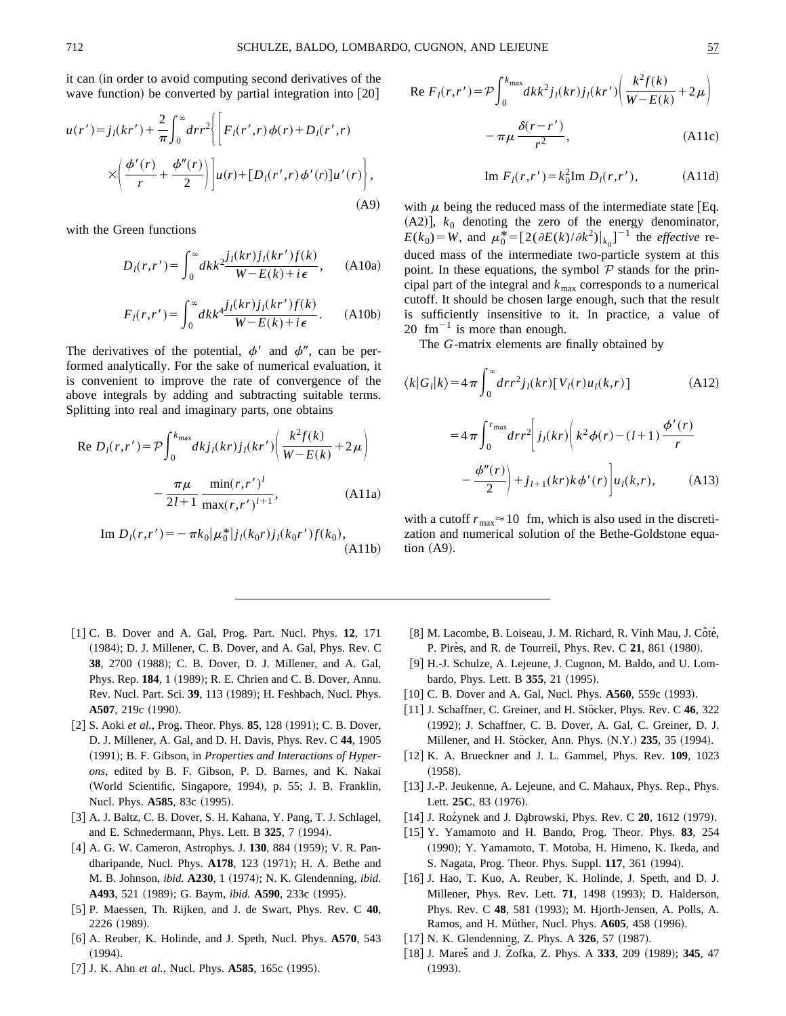it can (in order to avoid computing second derivatives of the wave function) be converted by partial integration into  $|20|$ 

$$
u(r') = j_{l}(kr') + \frac{2}{\pi} \int_{0}^{\infty} dr r^{2} \left\{ \left[ F_{l}(r', r) \phi(r) + D_{l}(r', r) \right. \\ \times \left( \frac{\phi'(r)}{r} + \frac{\phi''(r)}{2} \right) \right] u(r) + [D_{l}(r', r) \phi'(r)] u'(r) \right\},
$$
\n(A9)

with the Green functions

$$
D_l(r,r') = \int_0^\infty dk \, k^2 \frac{j_l(kr)j_l(kr')f(k)}{W - E(k) + i\epsilon}, \qquad \text{(A10a)}
$$

$$
F_l(r,r') = \int_0^\infty dk \, k^4 \frac{j_l(kr)j_l(kr')f(k)}{W - E(k) + i\epsilon}.
$$
 (A10b)

The derivatives of the potential,  $\phi'$  and  $\phi''$ , can be performed analytically. For the sake of numerical evaluation, it is convenient to improve the rate of convergence of the above integrals by adding and subtracting suitable terms. Splitting into real and imaginary parts, one obtains

Re 
$$
D_l(r,r') = \mathcal{P} \int_0^{k_{\text{max}}} dk j_l(kr) j_l(kr') \left( \frac{k^2 f(k)}{W - E(k)} + 2\mu \right)
$$
  

$$
- \frac{\pi \mu}{2l + 1} \frac{\min(r, r')^l}{\max(r, r')^{l+1}},
$$
(A11a)

Im 
$$
D_l(r,r') = -\pi k_0 |\mu_0^*| j_l(k_0r) j_l(k_0r') f(k_0),
$$
  
(A11b)

Re 
$$
F_l(r,r') = \mathcal{P} \int_0^{k_{\text{max}}} dk k^2 j_l(kr) j_l(kr') \left( \frac{k^2 f(k)}{W - E(k)} + 2\mu \right)
$$
  

$$
- \pi \mu \frac{\delta(r - r')}{r^2}, \qquad (A11c)
$$

Im 
$$
F_l(r, r') = k_0^2
$$
Im  $D_l(r, r')$ , (A11d)

with  $\mu$  being the reduced mass of the intermediate state [Eq.  $(A2)$ ],  $k_0$  denoting the zero of the energy denominator,  $E(k_0) = W$ , and  $\mu_0^* = [2(\partial E(k)/\partial k^2)|_{k_0}]^{-1}$  the *effective* reduced mass of the intermediate two-particle system at this point. In these equations, the symbol  $P$  stands for the principal part of the integral and  $k_{\text{max}}$  corresponds to a numerical cutoff. It should be chosen large enough, such that the result is sufficiently insensitive to it. In practice, a value of 20  $\text{fm}^{-1}$  is more than enough.

The *G*-matrix elements are finally obtained by

$$
\langle k|G_l|k\rangle = 4\pi \int_0^\infty dr r^2 j_l(kr) [V_l(r)u_l(k,r)] \qquad (A12)
$$

$$
= 4\pi \int_0^{r_{\text{max}}} dr r^2 \bigg[ j_l(kr) \bigg( k^2 \phi(r) - (l+1) \frac{\phi'(r)}{r} - \frac{\phi''(r)}{2} \bigg) + j_{l+1}(kr)k \phi'(r) \bigg] u_l(k,r), \qquad (A13)
$$

with a cutoff  $r_{\text{max}} \approx 10$  fm, which is also used in the discretization and numerical solution of the Bethe-Goldstone equation  $(A9)$ .

- @1# C. B. Dover and A. Gal, Prog. Part. Nucl. Phys. **12**, 171 (1984); D. J. Millener, C. B. Dover, and A. Gal, Phys. Rev. C **38**, 2700 (1988); C. B. Dover, D. J. Millener, and A. Gal, Phys. Rep. 184, 1 (1989); R. E. Chrien and C. B. Dover, Annu. Rev. Nucl. Part. Sci. 39, 113 (1989); H. Feshbach, Nucl. Phys. A507, 219c (1990).
- [2] S. Aoki et al., Prog. Theor. Phys. 85, 128 (1991); C. B. Dover, D. J. Millener, A. Gal, and D. H. Davis, Phys. Rev. C **44**, 1905 ~1991!; B. F. Gibson, in *Properties and Interactions of Hyperons*, edited by B. F. Gibson, P. D. Barnes, and K. Nakai (World Scientific, Singapore, 1994), p. 55; J. B. Franklin, Nucl. Phys. **A585**, 83c (1995).
- [3] A. J. Baltz, C. B. Dover, S. H. Kahana, Y. Pang, T. J. Schlagel, and E. Schnedermann, Phys. Lett. B 325, 7 (1994).
- [4] A. G. W. Cameron, Astrophys. J. **130**, 884 (1959); V. R. Pandharipande, Nucl. Phys. **A178**, 123 (1971); H. A. Bethe and M. B. Johnson, *ibid.* **A230**, 1 (1974); N. K. Glendenning, *ibid.* A493, 521 (1989); G. Baym, *ibid.* A590, 233c (1995).
- @5# P. Maessen, Th. Rijken, and J. de Swart, Phys. Rev. C **40**, 2226 (1989).
- @6# A. Reuber, K. Holinde, and J. Speth, Nucl. Phys. **A570**, 543  $(1994).$
- [7] J. K. Ahn *et al.*, Nucl. Phys. **A585**, 165c (1995).
- [8] M. Lacombe, B. Loiseau, J. M. Richard, R. Vinh Mau, J. Côté, P. Pires, and R. de Tourreil, Phys. Rev. C 21, 861 (1980).
- [9] H.-J. Schulze, A. Lejeune, J. Cugnon, M. Baldo, and U. Lombardo, Phys. Lett. B 355, 21 (1995).
- [10] C. B. Dover and A. Gal, Nucl. Phys. **A560**, 559c (1993).
- [11] J. Schaffner, C. Greiner, and H. Stöcker, Phys. Rev. C 46, 322 (1992); J. Schaffner, C. B. Dover, A. Gal, C. Greiner, D. J. Millener, and H. Stöcker, Ann. Phys. (N.Y.) 235, 35 (1994).
- [12] K. A. Brueckner and J. L. Gammel, Phys. Rev. **109**, 1023  $(1958).$
- [13] J.-P. Jeukenne, A. Lejeune, and C. Mahaux, Phys. Rep., Phys. Lett. 25C, 83 (1976).
- [14] J. Rozynek and J. Dabrowski, Phys. Rev. C **20**, 1612 (1979).
- [15] Y. Yamamoto and H. Bando, Prog. Theor. Phys. 83, 254 (1990); Y. Yamamoto, T. Motoba, H. Himeno, K. Ikeda, and S. Nagata, Prog. Theor. Phys. Suppl. **117**, 361 (1994).
- [16] J. Hao, T. Kuo, A. Reuber, K. Holinde, J. Speth, and D. J. Millener, Phys. Rev. Lett. **71**, 1498 (1993); D. Halderson, Phys. Rev. C 48, 581 (1993); M. Hjorth-Jensen, A. Polls, A. Ramos, and H. Müther, Nucl. Phys. **A605**, 458 (1996).
- [17] N. K. Glendenning, Z. Phys. A 326, 57 (1987).
- [18] J. Mares̆ and J. Zofka, Z. Phys. A 333, 209 (1989); 345, 47  $(1993).$